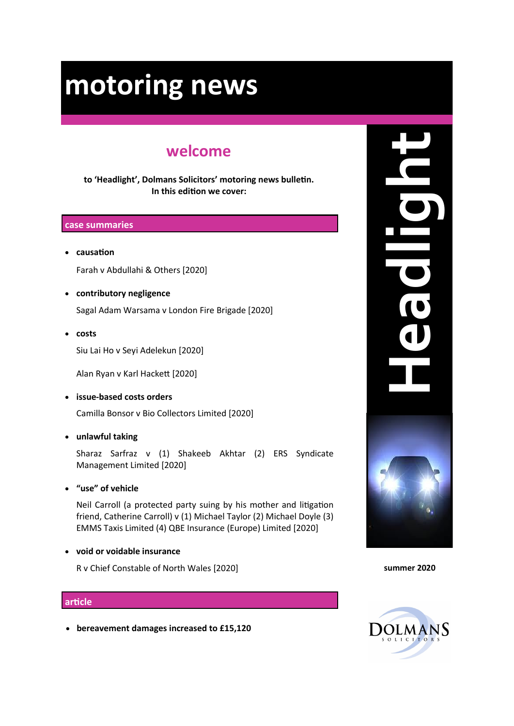# **welcome**

**to 'Headlight', Dolmans Solicitors' motoring news bulletin. In this edition we cover:**

#### **case summaries**

• **causation**

Farah v Abdullahi & Others [2020]

• **contributory negligence**

Sagal Adam Warsama v London Fire Brigade [2020]

• **costs** 

Siu Lai Ho v Seyi Adelekun [2020]

Alan Ryan v Karl Hackett [2020]

• **issue-based costs orders**

Camilla Bonsor v Bio Collectors Limited [2020]

• **unlawful taking** 

Sharaz Sarfraz v (1) Shakeeb Akhtar (2) ERS Syndicate Management Limited [2020]

• **"use" of vehicle** 

Neil Carroll (a protected party suing by his mother and litigation friend, Catherine Carroll) v (1) Michael Taylor (2) Michael Doyle (3) EMMS Taxis Limited (4) QBE Insurance (Europe) Limited [2020]

• **void or voidable insurance**

R v Chief Constable of North Wales [2020]

#### **article**

• **bereavement damages increased to £15,120**





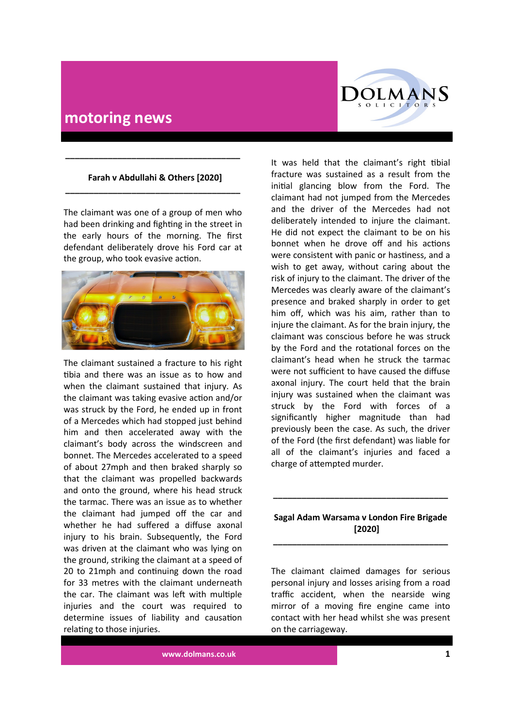

## **Farah v Abdullahi & Others [2020] \_\_\_\_\_\_\_\_\_\_\_\_\_\_\_\_\_\_\_\_\_\_\_\_\_\_\_\_\_\_\_\_\_\_\_\_\_**

**\_\_\_\_\_\_\_\_\_\_\_\_\_\_\_\_\_\_\_\_\_\_\_\_\_\_\_\_\_\_\_\_\_\_\_\_\_**

The claimant was one of a group of men who had been drinking and fighting in the street in the early hours of the morning. The first defendant deliberately drove his Ford car at the group, who took evasive action.



The claimant sustained a fracture to his right tibia and there was an issue as to how and when the claimant sustained that injury. As the claimant was taking evasive action and/or was struck by the Ford, he ended up in front of a Mercedes which had stopped just behind him and then accelerated away with the claimant's body across the windscreen and bonnet. The Mercedes accelerated to a speed of about 27mph and then braked sharply so that the claimant was propelled backwards and onto the ground, where his head struck the tarmac. There was an issue as to whether the claimant had jumped off the car and whether he had suffered a diffuse axonal injury to his brain. Subsequently, the Ford was driven at the claimant who was lying on the ground, striking the claimant at a speed of 20 to 21mph and continuing down the road for 33 metres with the claimant underneath the car. The claimant was left with multiple injuries and the court was required to determine issues of liability and causation relating to those injuries.

It was held that the claimant's right tibial fracture was sustained as a result from the initial glancing blow from the Ford. The claimant had not jumped from the Mercedes and the driver of the Mercedes had not deliberately intended to injure the claimant. He did not expect the claimant to be on his bonnet when he drove off and his actions were consistent with panic or hastiness, and a wish to get away, without caring about the risk of injury to the claimant. The driver of the Mercedes was clearly aware of the claimant's presence and braked sharply in order to get him off, which was his aim, rather than to injure the claimant. As for the brain injury, the claimant was conscious before he was struck by the Ford and the rotational forces on the claimant's head when he struck the tarmac were not sufficient to have caused the diffuse axonal injury. The court held that the brain injury was sustained when the claimant was struck by the Ford with forces of a significantly higher magnitude than had previously been the case. As such, the driver of the Ford (the first defendant) was liable for all of the claimant's injuries and faced a charge of attempted murder.

## **Sagal Adam Warsama v London Fire Brigade [2020]**

**\_\_\_\_\_\_\_\_\_\_\_\_\_\_\_\_\_\_\_\_\_\_\_\_\_\_\_\_\_\_\_\_\_\_\_\_\_**

**\_\_\_\_\_\_\_\_\_\_\_\_\_\_\_\_\_\_\_\_\_\_\_\_\_\_\_\_\_\_\_\_\_\_\_\_\_**

The claimant claimed damages for serious personal injury and losses arising from a road traffic accident, when the nearside wing mirror of a moving fire engine came into contact with her head whilst she was present on the carriageway.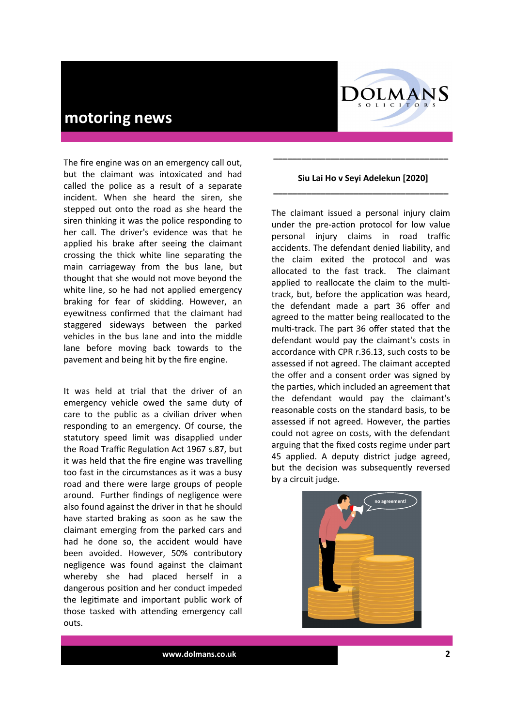

The fire engine was on an emergency call out, but the claimant was intoxicated and had called the police as a result of a separate incident. When she heard the siren, she stepped out onto the road as she heard the siren thinking it was the police responding to her call. The driver's evidence was that he applied his brake after seeing the claimant crossing the thick white line separating the main carriageway from the bus lane, but thought that she would not move beyond the white line, so he had not applied emergency braking for fear of skidding. However, an eyewitness confirmed that the claimant had staggered sideways between the parked vehicles in the bus lane and into the middle lane before moving back towards to the pavement and being hit by the fire engine.

It was held at trial that the driver of an emergency vehicle owed the same duty of care to the public as a civilian driver when responding to an emergency. Of course, the statutory speed limit was disapplied under the Road Traffic Regulation Act 1967 s.87, but it was held that the fire engine was travelling too fast in the circumstances as it was a busy road and there were large groups of people around. Further findings of negligence were also found against the driver in that he should have started braking as soon as he saw the claimant emerging from the parked cars and had he done so, the accident would have been avoided. However, 50% contributory negligence was found against the claimant whereby she had placed herself in a dangerous position and her conduct impeded the legitimate and important public work of those tasked with attending emergency call outs.

#### **Siu Lai Ho v Seyi Adelekun [2020] \_\_\_\_\_\_\_\_\_\_\_\_\_\_\_\_\_\_\_\_\_\_\_\_\_\_\_\_\_\_\_\_\_\_\_\_\_**

**\_\_\_\_\_\_\_\_\_\_\_\_\_\_\_\_\_\_\_\_\_\_\_\_\_\_\_\_\_\_\_\_\_\_\_\_\_**

The claimant issued a personal injury claim under the pre-action protocol for low value personal injury claims in road traffic accidents. The defendant denied liability, and the claim exited the protocol and was allocated to the fast track. The claimant applied to reallocate the claim to the multitrack, but, before the application was heard, the defendant made a part 36 offer and agreed to the matter being reallocated to the multi-track. The part 36 offer stated that the defendant would pay the claimant's costs in accordance with CPR r.36.13, such costs to be assessed if not agreed. The claimant accepted the offer and a consent order was signed by the parties, which included an agreement that the defendant would pay the claimant's reasonable costs on the standard basis, to be assessed if not agreed. However, the parties could not agree on costs, with the defendant arguing that the fixed costs regime under part 45 applied. A deputy district judge agreed, but the decision was subsequently reversed by a circuit judge.

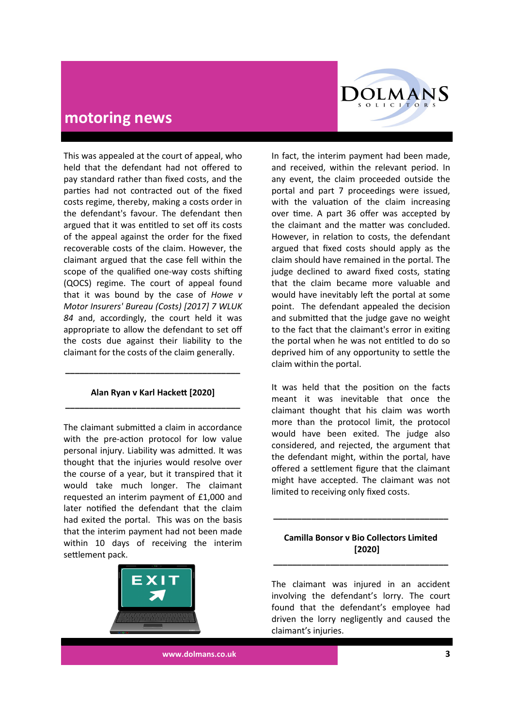

This was appealed at the court of appeal, who held that the defendant had not offered to pay standard rather than fixed costs, and the parties had not contracted out of the fixed costs regime, thereby, making a costs order in the defendant's favour. The defendant then argued that it was entitled to set off its costs of the appeal against the order for the fixed recoverable costs of the claim. However, the claimant argued that the case fell within the scope of the qualified one-way costs shifting (QOCS) regime. The court of appeal found that it was bound by the case of *Howe v Motor Insurers' Bureau (Costs) [2017] 7 WLUK 84* and, accordingly, the court held it was appropriate to allow the defendant to set off the costs due against their liability to the claimant for the costs of the claim generally.

## **Alan Ryan v Karl Hackett [2020] \_\_\_\_\_\_\_\_\_\_\_\_\_\_\_\_\_\_\_\_\_\_\_\_\_\_\_\_\_\_\_\_\_\_\_\_\_**

**\_\_\_\_\_\_\_\_\_\_\_\_\_\_\_\_\_\_\_\_\_\_\_\_\_\_\_\_\_\_\_\_\_\_\_\_\_**

The claimant submitted a claim in accordance with the pre-action protocol for low value personal injury. Liability was admitted. It was thought that the injuries would resolve over the course of a year, but it transpired that it would take much longer. The claimant requested an interim payment of £1,000 and later notified the defendant that the claim had exited the portal. This was on the basis that the interim payment had not been made within 10 days of receiving the interim settlement pack.



In fact, the interim payment had been made, and received, within the relevant period. In any event, the claim proceeded outside the portal and part 7 proceedings were issued, with the valuation of the claim increasing over time. A part 36 offer was accepted by the claimant and the matter was concluded. However, in relation to costs, the defendant argued that fixed costs should apply as the claim should have remained in the portal. The judge declined to award fixed costs, stating that the claim became more valuable and would have inevitably left the portal at some point. The defendant appealed the decision and submitted that the judge gave no weight to the fact that the claimant's error in exiting the portal when he was not entitled to do so deprived him of any opportunity to settle the claim within the portal.

It was held that the position on the facts meant it was inevitable that once the claimant thought that his claim was worth more than the protocol limit, the protocol would have been exited. The judge also considered, and rejected, the argument that the defendant might, within the portal, have offered a settlement figure that the claimant might have accepted. The claimant was not limited to receiving only fixed costs.

#### **Camilla Bonsor v Bio Collectors Limited [2020] \_\_\_\_\_\_\_\_\_\_\_\_\_\_\_\_\_\_\_\_\_\_\_\_\_\_\_\_\_\_\_\_\_\_\_\_\_**

**\_\_\_\_\_\_\_\_\_\_\_\_\_\_\_\_\_\_\_\_\_\_\_\_\_\_\_\_\_\_\_\_\_\_\_\_\_**

The claimant was injured in an accident involving the defendant's lorry. The court found that the defendant's employee had driven the lorry negligently and caused the claimant's injuries.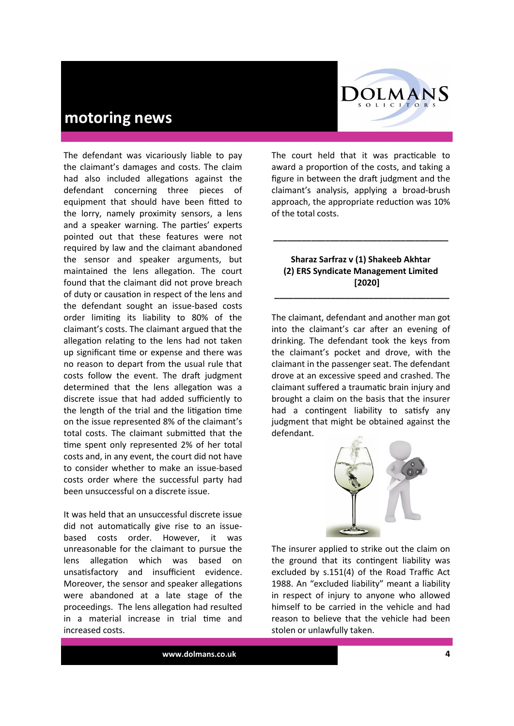

The defendant was vicariously liable to pay the claimant's damages and costs. The claim had also included allegations against the defendant concerning three pieces of equipment that should have been fitted to the lorry, namely proximity sensors, a lens and a speaker warning. The parties' experts pointed out that these features were not required by law and the claimant abandoned the sensor and speaker arguments, but maintained the lens allegation. The court found that the claimant did not prove breach of duty or causation in respect of the lens and the defendant sought an issue-based costs order limiting its liability to 80% of the claimant's costs. The claimant argued that the allegation relating to the lens had not taken up significant time or expense and there was no reason to depart from the usual rule that costs follow the event. The draft judgment determined that the lens allegation was a discrete issue that had added sufficiently to the length of the trial and the litigation time on the issue represented 8% of the claimant's total costs. The claimant submitted that the time spent only represented 2% of her total costs and, in any event, the court did not have to consider whether to make an issue-based costs order where the successful party had been unsuccessful on a discrete issue.

It was held that an unsuccessful discrete issue did not automatically give rise to an issuebased costs order. However, it was unreasonable for the claimant to pursue the lens allegation which was based on unsatisfactory and insufficient evidence. Moreover, the sensor and speaker allegations were abandoned at a late stage of the proceedings. The lens allegation had resulted in a material increase in trial time and increased costs.

The court held that it was practicable to award a proportion of the costs, and taking a figure in between the draft judgment and the claimant's analysis, applying a broad-brush approach, the appropriate reduction was 10% of the total costs.

#### **Sharaz Sarfraz v (1) Shakeeb Akhtar (2) ERS Syndicate Management Limited [2020]**

**\_\_\_\_\_\_\_\_\_\_\_\_\_\_\_\_\_\_\_\_\_\_\_\_\_\_\_\_\_\_\_\_\_\_\_\_\_**

**\_\_\_\_\_\_\_\_\_\_\_\_\_\_\_\_\_\_\_\_\_\_\_\_\_\_\_\_\_\_\_\_\_\_\_\_\_**

The claimant, defendant and another man got into the claimant's car after an evening of drinking. The defendant took the keys from the claimant's pocket and drove, with the claimant in the passenger seat. The defendant drove at an excessive speed and crashed. The claimant suffered a traumatic brain injury and brought a claim on the basis that the insurer had a contingent liability to satisfy any judgment that might be obtained against the defendant.



The insurer applied to strike out the claim on the ground that its contingent liability was excluded by s.151(4) of the Road Traffic Act 1988. An "excluded liability" meant a liability in respect of injury to anyone who allowed himself to be carried in the vehicle and had reason to believe that the vehicle had been stolen or unlawfully taken.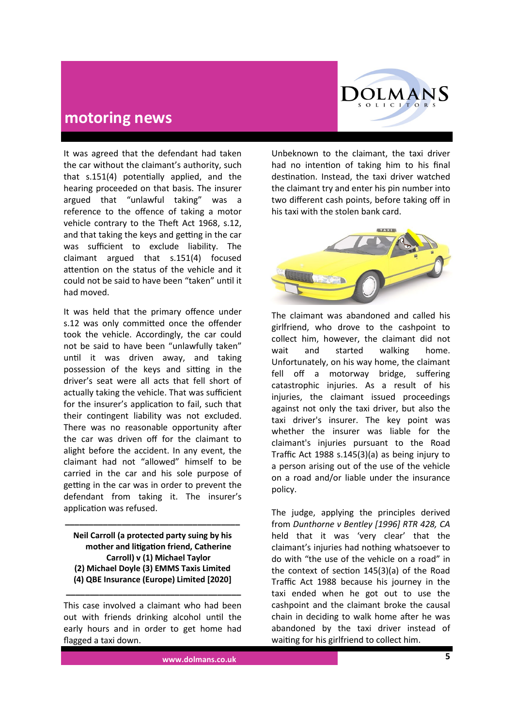

It was agreed that the defendant had taken the car without the claimant's authority, such that s.151(4) potentially applied, and the hearing proceeded on that basis. The insurer argued that "unlawful taking" was a reference to the offence of taking a motor vehicle contrary to the Theft Act 1968, s.12, and that taking the keys and getting in the car was sufficient to exclude liability. The claimant argued that s.151(4) focused attention on the status of the vehicle and it could not be said to have been "taken" until it had moved.

It was held that the primary offence under s.12 was only committed once the offender took the vehicle. Accordingly, the car could not be said to have been "unlawfully taken" until it was driven away, and taking possession of the keys and sitting in the driver's seat were all acts that fell short of actually taking the vehicle. That was sufficient for the insurer's application to fail, such that their contingent liability was not excluded. There was no reasonable opportunity after the car was driven off for the claimant to alight before the accident. In any event, the claimant had not "allowed" himself to be carried in the car and his sole purpose of getting in the car was in order to prevent the defendant from taking it. The insurer's application was refused.

**Neil Carroll (a protected party suing by his mother and litigation friend, Catherine Carroll) v (1) Michael Taylor (2) Michael Doyle (3) EMMS Taxis Limited (4) QBE Insurance (Europe) Limited [2020]**

**\_\_\_\_\_\_\_\_\_\_\_\_\_\_\_\_\_\_\_\_\_\_\_\_\_\_\_\_\_\_\_\_\_\_\_\_\_**

This case involved a claimant who had been out with friends drinking alcohol until the early hours and in order to get home had flagged a taxi down.

**\_\_\_\_\_\_\_\_\_\_\_\_\_\_\_\_\_\_\_\_\_\_\_\_\_\_\_\_\_\_\_\_\_\_\_\_\_**

Unbeknown to the claimant, the taxi driver had no intention of taking him to his final destination. Instead, the taxi driver watched the claimant try and enter his pin number into two different cash points, before taking off in his taxi with the stolen bank card.



The claimant was abandoned and called his girlfriend, who drove to the cashpoint to collect him, however, the claimant did not wait and started walking home. Unfortunately, on his way home, the claimant fell off a motorway bridge, suffering catastrophic injuries. As a result of his injuries, the claimant issued proceedings against not only the taxi driver, but also the taxi driver's insurer. The key point was whether the insurer was liable for the claimant's injuries pursuant to the Road Traffic Act 1988 s.145(3)(a) as being injury to a person arising out of the use of the vehicle on a road and/or liable under the insurance policy.

The judge, applying the principles derived from *Dunthorne v Bentley [1996] RTR 428, CA*  held that it was 'very clear' that the claimant's injuries had nothing whatsoever to do with "the use of the vehicle on a road" in the context of section 145(3)(a) of the Road Traffic Act 1988 because his journey in the taxi ended when he got out to use the cashpoint and the claimant broke the causal chain in deciding to walk home after he was abandoned by the taxi driver instead of waiting for his girlfriend to collect him.

**www.dolmans.co.uk 5**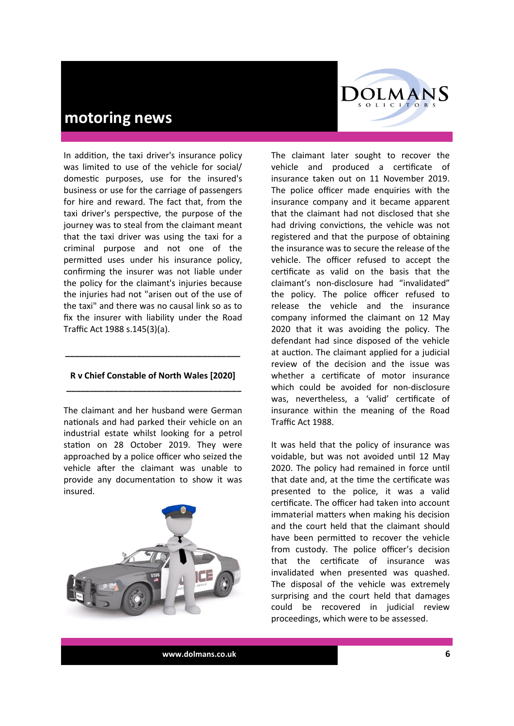

In addition, the taxi driver's insurance policy was limited to use of the vehicle for social/ domestic purposes, use for the insured's business or use for the carriage of passengers for hire and reward. The fact that, from the taxi driver's perspective, the purpose of the journey was to steal from the claimant meant that the taxi driver was using the taxi for a criminal purpose and not one of the permitted uses under his insurance policy, confirming the insurer was not liable under the policy for the claimant's injuries because the injuries had not "arisen out of the use of the taxi" and there was no causal link so as to fix the insurer with liability under the Road Traffic Act 1988 s.145(3)(a).

#### **R v Chief Constable of North Wales [2020] \_\_\_\_\_\_\_\_\_\_\_\_\_\_\_\_\_\_\_\_\_\_\_\_\_\_\_\_\_\_\_\_\_\_\_\_\_**

**\_\_\_\_\_\_\_\_\_\_\_\_\_\_\_\_\_\_\_\_\_\_\_\_\_\_\_\_\_\_\_\_\_\_\_\_\_**

The claimant and her husband were German nationals and had parked their vehicle on an industrial estate whilst looking for a petrol station on 28 October 2019. They were approached by a police officer who seized the vehicle after the claimant was unable to provide any documentation to show it was insured.



The claimant later sought to recover the vehicle and produced a certificate of insurance taken out on 11 November 2019. The police officer made enquiries with the insurance company and it became apparent that the claimant had not disclosed that she had driving convictions, the vehicle was not registered and that the purpose of obtaining the insurance was to secure the release of the vehicle. The officer refused to accept the certificate as valid on the basis that the claimant's non-disclosure had "invalidated" the policy. The police officer refused to release the vehicle and the insurance company informed the claimant on 12 May 2020 that it was avoiding the policy. The defendant had since disposed of the vehicle at auction. The claimant applied for a judicial review of the decision and the issue was whether a certificate of motor insurance which could be avoided for non-disclosure was, nevertheless, a 'valid' certificate of insurance within the meaning of the Road Traffic Act 1988.

It was held that the policy of insurance was voidable, but was not avoided until 12 May 2020. The policy had remained in force until that date and, at the time the certificate was presented to the police, it was a valid certificate. The officer had taken into account immaterial matters when making his decision and the court held that the claimant should have been permitted to recover the vehicle from custody. The police officer's decision that the certificate of insurance was invalidated when presented was quashed. The disposal of the vehicle was extremely surprising and the court held that damages could be recovered in judicial review proceedings, which were to be assessed.